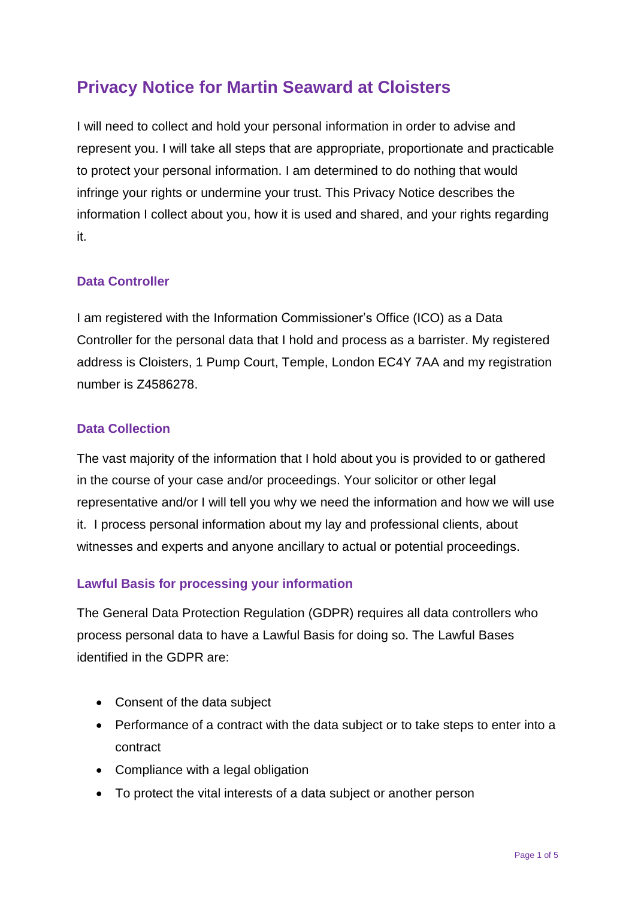# **Privacy Notice for Martin Seaward at Cloisters**

I will need to collect and hold your personal information in order to advise and represent you. I will take all steps that are appropriate, proportionate and practicable to protect your personal information. I am determined to do nothing that would infringe your rights or undermine your trust. This Privacy Notice describes the information I collect about you, how it is used and shared, and your rights regarding it.

## **Data Controller**

I am registered with the Information Commissioner's Office (ICO) as a Data Controller for the personal data that I hold and process as a barrister. My registered address is Cloisters, 1 Pump Court, Temple, London EC4Y 7AA and my registration number is Z4586278.

## **Data Collection**

The vast majority of the information that I hold about you is provided to or gathered in the course of your case and/or proceedings. Your solicitor or other legal representative and/or I will tell you why we need the information and how we will use it. I process personal information about my lay and professional clients, about witnesses and experts and anyone ancillary to actual or potential proceedings.

# **Lawful Basis for processing your information**

The General Data Protection Regulation (GDPR) requires all data controllers who process personal data to have a Lawful Basis for doing so. The Lawful Bases identified in the GDPR are:

- Consent of the data subject
- Performance of a contract with the data subject or to take steps to enter into a contract
- Compliance with a legal obligation
- To protect the vital interests of a data subject or another person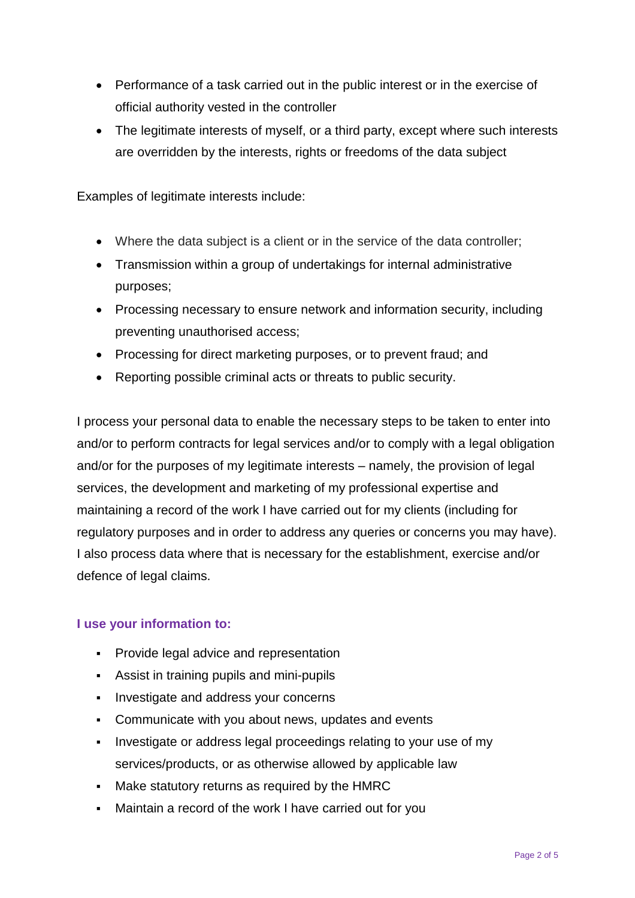- Performance of a task carried out in the public interest or in the exercise of official authority vested in the controller
- The legitimate interests of myself, or a third party, except where such interests are overridden by the interests, rights or freedoms of the data subject

Examples of legitimate interests include:

- Where the data subject is a client or in the service of the data controller;
- Transmission within a group of undertakings for internal administrative purposes;
- Processing necessary to ensure network and information security, including preventing unauthorised access;
- Processing for direct marketing purposes, or to prevent fraud; and
- Reporting possible criminal acts or threats to public security.

I process your personal data to enable the necessary steps to be taken to enter into and/or to perform contracts for legal services and/or to comply with a legal obligation and/or for the purposes of my legitimate interests – namely, the provision of legal services, the development and marketing of my professional expertise and maintaining a record of the work I have carried out for my clients (including for regulatory purposes and in order to address any queries or concerns you may have). I also process data where that is necessary for the establishment, exercise and/or defence of legal claims.

### **I use your information to:**

- **Provide legal advice and representation**
- **Assist in training pupils and mini-pupils**
- Investigate and address your concerns
- Communicate with you about news, updates and events
- **EXECT** Investigate or address legal proceedings relating to your use of my services/products, or as otherwise allowed by applicable law
- Make statutory returns as required by the HMRC
- Maintain a record of the work I have carried out for you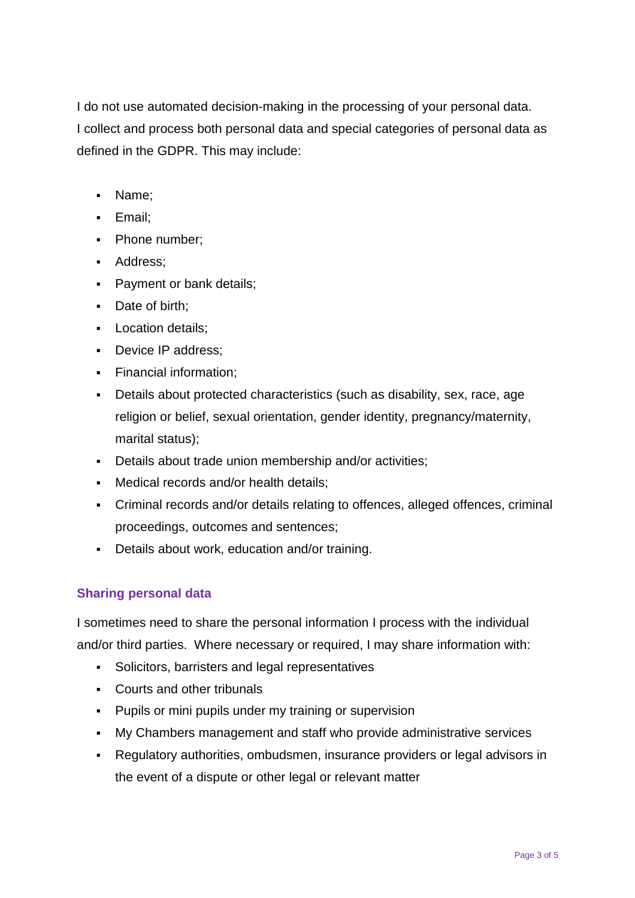I do not use automated decision-making in the processing of your personal data. I collect and process both personal data and special categories of personal data as defined in the GDPR. This may include:

- Name;
- Email;
- Phone number;
- Address;
- Payment or bank details;
- Date of birth;
- **•** Location details;
- Device IP address;
- Financial information;
- Details about protected characteristics (such as disability, sex, race, age religion or belief, sexual orientation, gender identity, pregnancy/maternity, marital status);
- Details about trade union membership and/or activities;
- Medical records and/or health details;
- Criminal records and/or details relating to offences, alleged offences, criminal proceedings, outcomes and sentences;
- Details about work, education and/or training.

# **Sharing personal data**

I sometimes need to share the personal information I process with the individual and/or third parties. Where necessary or required, I may share information with:

- Solicitors, barristers and legal representatives
- Courts and other tribunals
- Pupils or mini pupils under my training or supervision
- My Chambers management and staff who provide administrative services
- Regulatory authorities, ombudsmen, insurance providers or legal advisors in the event of a dispute or other legal or relevant matter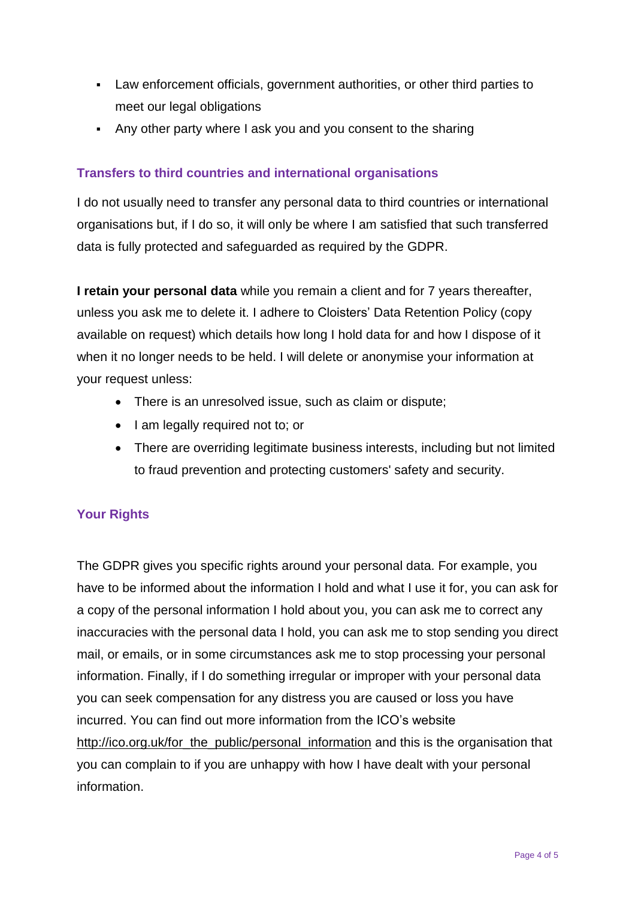- Law enforcement officials, government authorities, or other third parties to meet our legal obligations
- Any other party where I ask you and you consent to the sharing

# **Transfers to third countries and international organisations**

I do not usually need to transfer any personal data to third countries or international organisations but, if I do so, it will only be where I am satisfied that such transferred data is fully protected and safeguarded as required by the GDPR.

**I retain your personal data** while you remain a client and for 7 years thereafter, unless you ask me to delete it. I adhere to Cloisters' Data Retention Policy (copy available on request) which details how long I hold data for and how I dispose of it when it no longer needs to be held. I will delete or anonymise your information at your request unless:

- There is an unresolved issue, such as claim or dispute;
- I am legally required not to; or
- There are overriding legitimate business interests, including but not limited to fraud prevention and protecting customers' safety and security.

# **Your Rights**

The GDPR gives you specific rights around your personal data. For example, you have to be informed about the information I hold and what I use it for, you can ask for a copy of the personal information I hold about you, you can ask me to correct any inaccuracies with the personal data I hold, you can ask me to stop sending you direct mail, or emails, or in some circumstances ask me to stop processing your personal information. Finally, if I do something irregular or improper with your personal data you can seek compensation for any distress you are caused or loss you have incurred. You can find out more information from the ICO's website [http://ico.org.uk/for\\_the\\_public/personal\\_information](http://ico.org.uk/for_the_public/personal_information) and this is the organisation that you can complain to if you are unhappy with how I have dealt with your personal information.